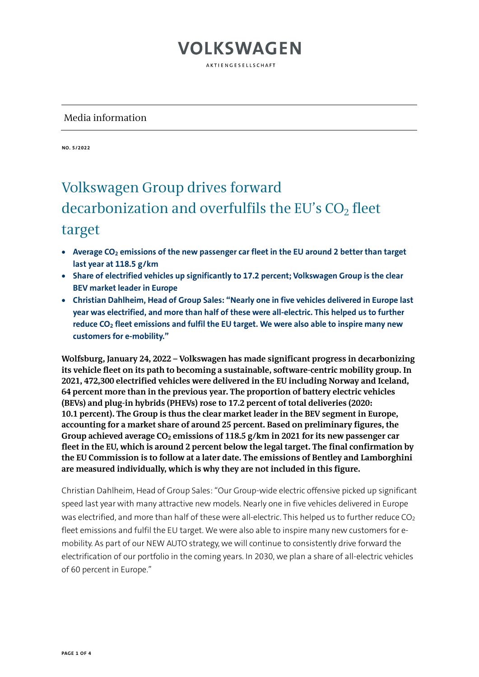AKTIENGESELLSCHAFT

#### Media information

**NO. 5/2022**

#### Volkswagen Group drives forward decarbonization and overfulfils the EU's  $CO<sub>2</sub>$  fleet target

- **Average CO2 emissions of the new passenger car fleet in the EU around 2 better than target last year at 118.5 g/km**
- **Share of electrified vehicles up significantly to 17.2 percent; Volkswagen Group is the clear BEV market leader in Europe**
- **Christian Dahlheim, Head of Group Sales: "Nearly one in five vehicles delivered in Europe last year was electrified, and more than half of these were all-electric. This helped us to further reduce CO2 fleet emissions and fulfil the EU target. We were also able to inspire many new customers for e-mobility."**

**Wolfsburg, January 24, 2022 – Volkswagen has made significant progress in decarbonizing its vehicle fleet on its path to becoming a sustainable, software-centric mobility group. In 2021, 472,300 electrified vehicles were delivered in the EU including Norway and Iceland, 64 percent more than in the previous year. The proportion of battery electric vehicles (BEVs) and plug-in hybrids (PHEVs) rose to 17.2 percent of total deliveries (2020: 10.1 percent). The Group is thus the clear market leader in the BEV segment in Europe, accounting for a market share of around 25 percent. Based on preliminary figures, the**  Group achieved average CO<sub>2</sub> emissions of 118.5 g/km in 2021 for its new passenger car **fleet in the EU, which is around 2 percent below the legal target. The final confirmation by the EU Commission is to follow at a later date. The emissions of Bentley and Lamborghini are measured individually, which is why they are not included in this figure.**

Christian Dahlheim, Head of Group Sales: "Our Group-wide electric offensive picked up significant speed last year with many attractive new models. Nearly one in five vehicles delivered in Europe was electrified, and more than half of these were all-electric. This helped us to further reduce CO<sub>2</sub> fleet emissions and fulfil the EU target. We were also able to inspire many new customers for emobility. As part of our NEW AUTO strategy, we will continue to consistently drive forward the electrification of our portfolio in the coming years. In 2030, we plan a share of all-electric vehicles of 60 percent in Europe."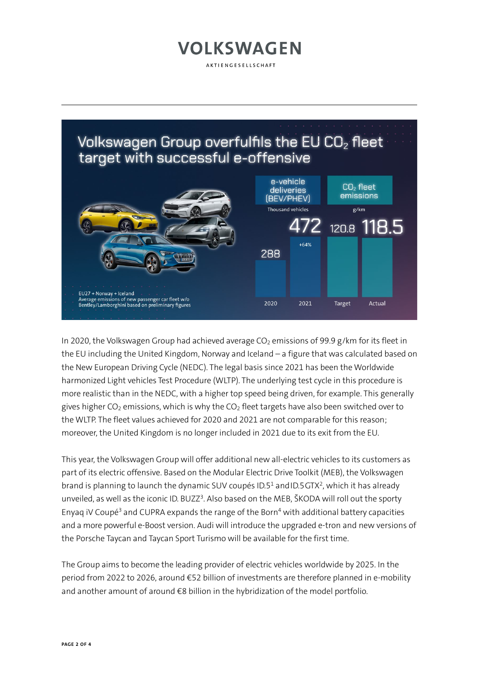AKTIENGESELLSCHAFT



In 2020, the Volkswagen Group had achieved average  $CO<sub>2</sub>$  emissions of 99.9 g/km for its fleet in the EU including the United Kingdom, Norway and Iceland – a figure that was calculated based on the New European Driving Cycle (NEDC). The legal basis since 2021 has been the Worldwide harmonized Light vehicles Test Procedure (WLTP). The underlying test cycle in this procedure is more realistic than in the NEDC, with a higher top speed being driven, for example. This generally gives higher  $CO_2$  emissions, which is why the  $CO_2$  fleet targets have also been switched over to the WLTP. The fleet values achieved for 2020 and 2021 are not comparable for this reason; moreover, the United Kingdom is no longer included in 2021 due to its exit from the EU.

This year, the Volkswagen Group will offer additional new all-electric vehicles to its customers as part of its electric offensive. Based on the Modular Electric Drive Toolkit (MEB), the Volkswagen brand is planning to launch the dynamic SUV coupés ID.5<sup>1</sup> and ID.5 GTX<sup>2</sup>, which it has already unveiled, as well as the iconic ID. BUZZ $^3$ . Also based on the MEB, ŠKODA will roll out the sporty Enyaq iV Coupé<sup>3</sup> and CUPRA expands the range of the Born<sup>4</sup> with additional battery capacities and a more powerful e-Boost version. Audi will introduce the upgraded e-tron and new versions of the Porsche Taycan and Taycan Sport Turismo will be available for the first time.

The Group aims to become the leading provider of electric vehicles worldwide by 2025. In the period from 2022 to 2026, around €52 billion of investments are therefore planned in e-mobility and another amount of around €8 billion in the hybridization of the model portfolio.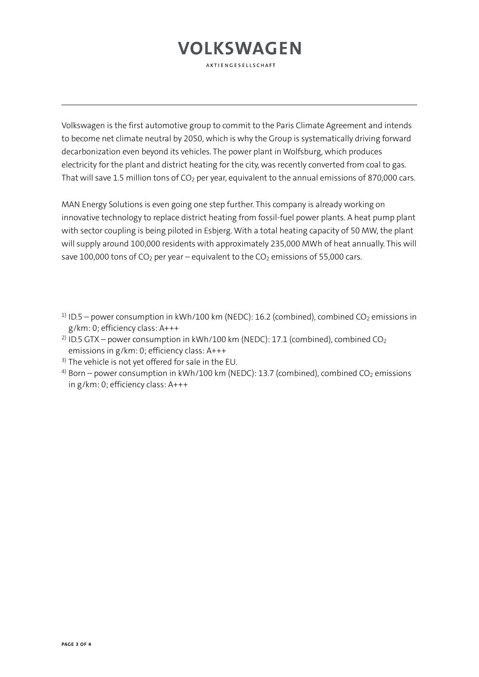AKTIENGESELLSCHAFT

Volkswagen is the first automotive group to commit to the Paris Climate Agreement and intends to become net climate neutral by 2050, which is why the Group is systematically driving forward decarbonization even beyond its vehicles. The power plant in Wolfsburg, which produces electricity for the plant and district heating for the city, was recently converted from coal to gas. That will save 1.5 million tons of  $CO<sub>2</sub>$  per year, equivalent to the annual emissions of 870,000 cars.

MAN Energy Solutions is even going one step further. This company is already working on innovative technology to replace district heating from fossil-fuel power plants. A heat pump plant with sector coupling is being piloted in Esbjerg. With a total heating capacity of 50 MW, the plant will supply around 100,000 residents with approximately 235,000 MWh of heat annually. This will save 100,000 tons of  $CO<sub>2</sub>$  per year – equivalent to the  $CO<sub>2</sub>$  emissions of 55,000 cars.

- <sup>1)</sup> ID.5 power consumption in kWh/100 km (NEDC): 16.2 (combined), combined CO<sub>2</sub> emissions in g/km: 0; efficiency class: A+++
- <sup>2)</sup> ID.5 GTX power consumption in kWh/100 km (NEDC): 17.1 (combined), combined CO<sub>2</sub> emissions in g/km: 0; efficiency class: A+++
- $3)$  The vehicle is not yet offered for sale in the EU.
- <sup>4)</sup> Born power consumption in kWh/100 km (NEDC): 13.7 (combined), combined CO<sub>2</sub> emissions in g/km: 0; efficiency class: A+++